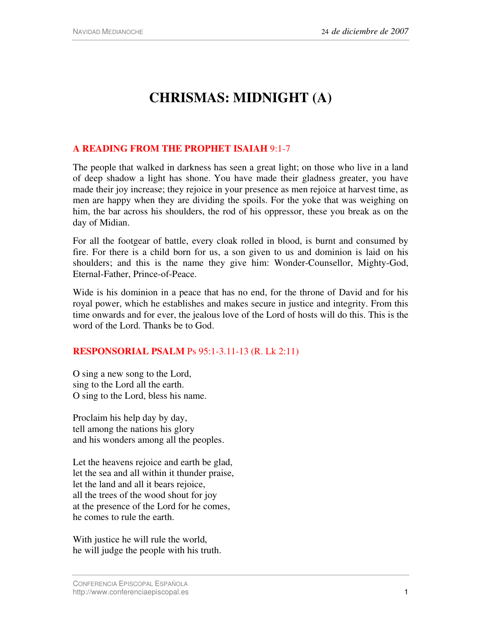# **CHRISMAS: MIDNIGHT (A)**

## **A READING FROM THE PROPHET ISAIAH** 9:1-7

The people that walked in darkness has seen a great light; on those who live in a land of deep shadow a light has shone. You have made their gladness greater, you have made their joy increase; they rejoice in your presence as men rejoice at harvest time, as men are happy when they are dividing the spoils. For the yoke that was weighing on him, the bar across his shoulders, the rod of his oppressor, these you break as on the day of Midian.

For all the footgear of battle, every cloak rolled in blood, is burnt and consumed by fire. For there is a child born for us, a son given to us and dominion is laid on his shoulders; and this is the name they give him: Wonder-Counsellor, Mighty-God, Eternal-Father, Prince-of-Peace.

Wide is his dominion in a peace that has no end, for the throne of David and for his royal power, which he establishes and makes secure in justice and integrity. From this time onwards and for ever, the jealous love of the Lord of hosts will do this. This is the word of the Lord. Thanks be to God.

## **RESPONSORIAL PSALM** Ps 95:1-3.11-13 (R. Lk 2:11)

O sing a new song to the Lord, sing to the Lord all the earth. O sing to the Lord, bless his name.

Proclaim his help day by day, tell among the nations his glory and his wonders among all the peoples.

Let the heavens rejoice and earth be glad, let the sea and all within it thunder praise, let the land and all it bears rejoice, all the trees of the wood shout for joy at the presence of the Lord for he comes, he comes to rule the earth.

With justice he will rule the world, he will judge the people with his truth.